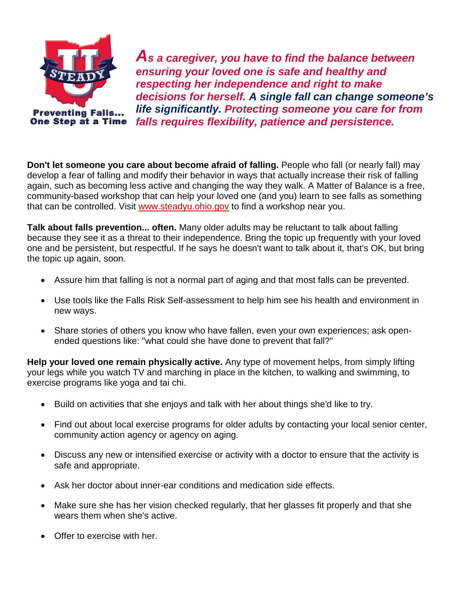

*As a caregiver, you have to find the balance between ensuring your loved one is safe and healthy and respecting her independence and right to make decisions for herself. A single fall can change someone's life significantly. Protecting someone you care for from falls requires flexibility, patience and persistence.* 

**Don't let someone you care about become afraid of falling.** People who fall (or nearly fall) may develop a fear of falling and modify their behavior in ways that actually increase their risk of falling again, such as becoming less active and changing the way they walk. A Matter of Balance is a free, community-based workshop that can help your loved one (and you) learn to see falls as something that can be controlled. Visit [www.steadyu.ohio.gov](http://www.steadyu.ohio.gov/) to find a workshop near you.

**Talk about falls prevention... often.** Many older adults may be reluctant to talk about falling because they see it as a threat to their independence. Bring the topic up frequently with your loved one and be persistent, but respectful. If he says he doesn't want to talk about it, that's OK, but bring the topic up again, soon.

- Assure him that falling is not a normal part of aging and that most falls can be prevented.
- Use tools like the Falls Risk Self-assessment to help him see his health and environment in new ways.
- Share stories of others you know who have fallen, even your own experiences; ask openended questions like: "what could she have done to prevent that fall?"

**Help your loved one remain physically active.** Any type of movement helps, from simply lifting your legs while you watch TV and marching in place in the kitchen, to walking and swimming, to exercise programs like yoga and tai chi.

- Build on activities that she enjoys and talk with her about things she'd like to try.
- Find out about local exercise programs for older adults by contacting your local senior center, community action agency or agency on aging.
- Discuss any new or intensified exercise or activity with a doctor to ensure that the activity is safe and appropriate.
- Ask her doctor about inner-ear conditions and medication side effects.
- Make sure she has her vision checked regularly, that her glasses fit properly and that she wears them when she's active.
- Offer to exercise with her.